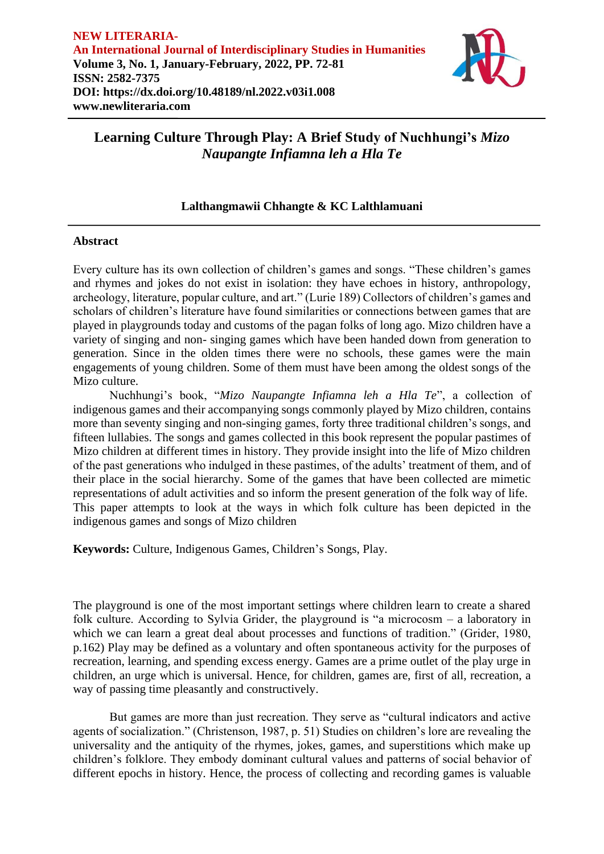

# **Lalthangmawii Chhangte & KC Lalthlamuani**

## **Abstract**

Every culture has its own collection of children's games and songs. "These children's games and rhymes and jokes do not exist in isolation: they have echoes in history, anthropology, archeology, literature, popular culture, and art." (Lurie 189) Collectors of children's games and scholars of children's literature have found similarities or connections between games that are played in playgrounds today and customs of the pagan folks of long ago. Mizo children have a variety of singing and non- singing games which have been handed down from generation to generation. Since in the olden times there were no schools, these games were the main engagements of young children. Some of them must have been among the oldest songs of the Mizo culture.

Nuchhungi's book, "*Mizo Naupangte Infiamna leh a Hla Te*", a collection of indigenous games and their accompanying songs commonly played by Mizo children, contains more than seventy singing and non-singing games, forty three traditional children's songs, and fifteen lullabies. The songs and games collected in this book represent the popular pastimes of Mizo children at different times in history. They provide insight into the life of Mizo children of the past generations who indulged in these pastimes, of the adults' treatment of them, and of their place in the social hierarchy. Some of the games that have been collected are mimetic representations of adult activities and so inform the present generation of the folk way of life. This paper attempts to look at the ways in which folk culture has been depicted in the indigenous games and songs of Mizo children

**Keywords:** Culture, Indigenous Games, Children's Songs, Play.

The playground is one of the most important settings where children learn to create a shared folk culture. According to Sylvia Grider, the playground is "a microcosm – a laboratory in which we can learn a great deal about processes and functions of tradition." (Grider, 1980, p.162) Play may be defined as a voluntary and often spontaneous activity for the purposes of recreation, learning, and spending excess energy. Games are a prime outlet of the play urge in children, an urge which is universal. Hence, for children, games are, first of all, recreation, a way of passing time pleasantly and constructively.

But games are more than just recreation. They serve as "cultural indicators and active agents of socialization." (Christenson, 1987, p. 51) Studies on children's lore are revealing the universality and the antiquity of the rhymes, jokes, games, and superstitions which make up children's folklore. They embody dominant cultural values and patterns of social behavior of different epochs in history. Hence, the process of collecting and recording games is valuable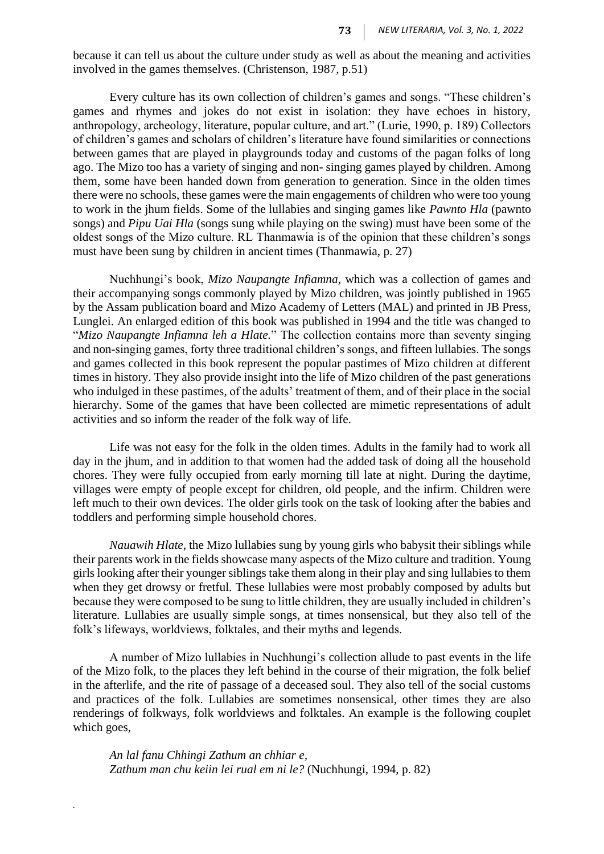because it can tell us about the culture under study as well as about the meaning and activities involved in the games themselves. (Christenson, 1987, p.51)

Every culture has its own collection of children's games and songs. "These children's games and rhymes and jokes do not exist in isolation: they have echoes in history, anthropology, archeology, literature, popular culture, and art." (Lurie, 1990, p. 189) Collectors of children's games and scholars of children's literature have found similarities or connections between games that are played in playgrounds today and customs of the pagan folks of long ago. The Mizo too has a variety of singing and non- singing games played by children. Among them, some have been handed down from generation to generation. Since in the olden times there were no schools, these games were the main engagements of children who were too young to work in the jhum fields. Some of the lullabies and singing games like *Pawnto Hla* (pawnto songs) and *Pipu Uai Hla* (songs sung while playing on the swing) must have been some of the oldest songs of the Mizo culture. RL Thanmawia is of the opinion that these children's songs must have been sung by children in ancient times (Thanmawia, p. 27)

Nuchhungi's book, *Mizo Naupangte Infiamna*, which was a collection of games and their accompanying songs commonly played by Mizo children, was jointly published in 1965 by the Assam publication board and Mizo Academy of Letters (MAL) and printed in JB Press, Lunglei. An enlarged edition of this book was published in 1994 and the title was changed to "*Mizo Naupangte Infiamna leh a Hlate.*" The collection contains more than seventy singing and non-singing games, forty three traditional children's songs, and fifteen lullabies. The songs and games collected in this book represent the popular pastimes of Mizo children at different times in history. They also provide insight into the life of Mizo children of the past generations who indulged in these pastimes, of the adults' treatment of them, and of their place in the social hierarchy. Some of the games that have been collected are mimetic representations of adult activities and so inform the reader of the folk way of life.

Life was not easy for the folk in the olden times. Adults in the family had to work all day in the jhum, and in addition to that women had the added task of doing all the household chores. They were fully occupied from early morning till late at night. During the daytime, villages were empty of people except for children, old people, and the infirm. Children were left much to their own devices. The older girls took on the task of looking after the babies and toddlers and performing simple household chores.

*Nauawih Hlate*, the Mizo lullabies sung by young girls who babysit their siblings while their parents work in the fields showcase many aspects of the Mizo culture and tradition. Young girls looking after their younger siblings take them along in their play and sing lullabies to them when they get drowsy or fretful. These lullabies were most probably composed by adults but because they were composed to be sung to little children, they are usually included in children's literature. Lullabies are usually simple songs, at times nonsensical, but they also tell of the folk's lifeways, worldviews, folktales, and their myths and legends.

A number of Mizo lullabies in Nuchhungi's collection allude to past events in the life of the Mizo folk, to the places they left behind in the course of their migration, the folk belief in the afterlife, and the rite of passage of a deceased soul. They also tell of the social customs and practices of the folk. Lullabies are sometimes nonsensical, other times they are also renderings of folkways, folk worldviews and folktales. An example is the following couplet which goes,

*An lal fanu Chhingi Zathum an chhiar e, Zathum man chu keiin lei rual em ni le?* (Nuchhungi, 1994, p. 82)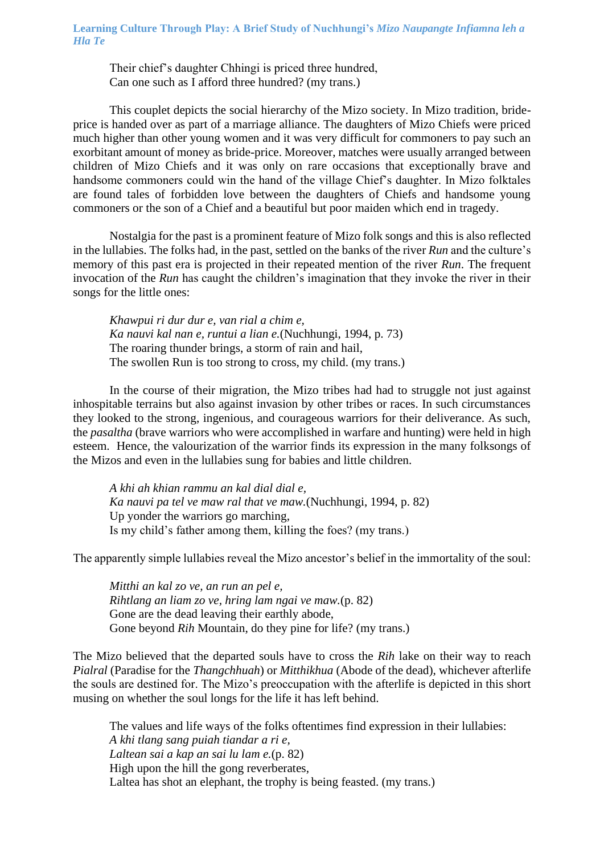Their chief's daughter Chhingi is priced three hundred, Can one such as I afford three hundred? (my trans.)

This couplet depicts the social hierarchy of the Mizo society. In Mizo tradition, brideprice is handed over as part of a marriage alliance. The daughters of Mizo Chiefs were priced much higher than other young women and it was very difficult for commoners to pay such an exorbitant amount of money as bride-price. Moreover, matches were usually arranged between children of Mizo Chiefs and it was only on rare occasions that exceptionally brave and handsome commoners could win the hand of the village Chief's daughter. In Mizo folktales are found tales of forbidden love between the daughters of Chiefs and handsome young commoners or the son of a Chief and a beautiful but poor maiden which end in tragedy.

Nostalgia for the past is a prominent feature of Mizo folk songs and this is also reflected in the lullabies. The folks had, in the past, settled on the banks of the river *Run* and the culture's memory of this past era is projected in their repeated mention of the river *Run*. The frequent invocation of the *Run* has caught the children's imagination that they invoke the river in their songs for the little ones:

*Khawpui ri dur dur e, van rial a chim e, Ka nauvi kal nan e, runtui a lian e.*(Nuchhungi, 1994, p. 73) The roaring thunder brings, a storm of rain and hail, The swollen Run is too strong to cross, my child. (my trans.)

In the course of their migration, the Mizo tribes had had to struggle not just against inhospitable terrains but also against invasion by other tribes or races. In such circumstances they looked to the strong, ingenious, and courageous warriors for their deliverance. As such, the *pasaltha* (brave warriors who were accomplished in warfare and hunting) were held in high esteem. Hence, the valourization of the warrior finds its expression in the many folksongs of the Mizos and even in the lullabies sung for babies and little children.

*A khi ah khian rammu an kal dial dial e, Ka nauvi pa tel ve maw ral that ve maw.*(Nuchhungi, 1994, p. 82) Up yonder the warriors go marching, Is my child's father among them, killing the foes? (my trans.)

The apparently simple lullabies reveal the Mizo ancestor's belief in the immortality of the soul:

*Mitthi an kal zo ve, an run an pel e, Rihtlang an liam zo ve, hring lam ngai ve maw.*(p. 82) Gone are the dead leaving their earthly abode, Gone beyond *Rih* Mountain, do they pine for life? (my trans.)

The Mizo believed that the departed souls have to cross the *Rih* lake on their way to reach *Pialral* (Paradise for the *Thangchhuah*) or *Mitthikhua* (Abode of the dead), whichever afterlife the souls are destined for. The Mizo's preoccupation with the afterlife is depicted in this short musing on whether the soul longs for the life it has left behind.

The values and life ways of the folks oftentimes find expression in their lullabies: *A khi tlang sang puiah tiandar a ri e, Laltean sai a kap an sai lu lam e.*(p. 82) High upon the hill the gong reverberates, Laltea has shot an elephant, the trophy is being feasted. (my trans.)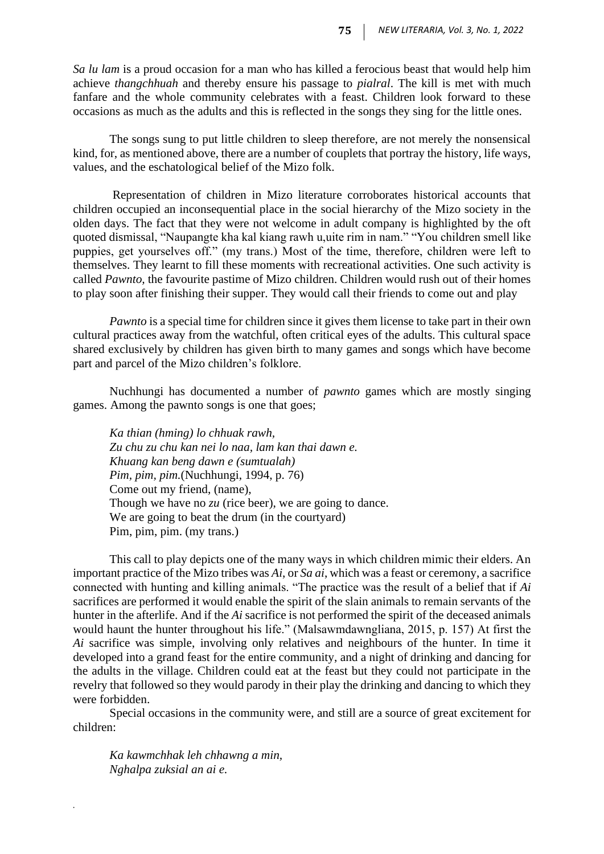*Sa lu lam* is a proud occasion for a man who has killed a ferocious beast that would help him achieve *thangchhuah* and thereby ensure his passage to *pialral*. The kill is met with much fanfare and the whole community celebrates with a feast. Children look forward to these occasions as much as the adults and this is reflected in the songs they sing for the little ones.

The songs sung to put little children to sleep therefore, are not merely the nonsensical kind, for, as mentioned above, there are a number of couplets that portray the history, life ways, values, and the eschatological belief of the Mizo folk.

Representation of children in Mizo literature corroborates historical accounts that children occupied an inconsequential place in the social hierarchy of the Mizo society in the olden days. The fact that they were not welcome in adult company is highlighted by the oft quoted dismissal, "Naupangte kha kal kiang rawh u,uite rim in nam." "You children smell like puppies, get yourselves off." (my trans.) Most of the time, therefore, children were left to themselves. They learnt to fill these moments with recreational activities. One such activity is called *Pawnto,* the favourite pastime of Mizo children. Children would rush out of their homes to play soon after finishing their supper. They would call their friends to come out and play

*Pawnto* is a special time for children since it gives them license to take part in their own cultural practices away from the watchful, often critical eyes of the adults. This cultural space shared exclusively by children has given birth to many games and songs which have become part and parcel of the Mizo children's folklore.

Nuchhungi has documented a number of *pawnto* games which are mostly singing games. Among the pawnto songs is one that goes;

*Ka thian (hming) lo chhuak rawh, Zu chu zu chu kan nei lo naa, lam kan thai dawn e. Khuang kan beng dawn e (sumtualah) Pim, pim, pim.*(Nuchhungi, 1994, p. 76) Come out my friend, (name), Though we have no *zu* (rice beer), we are going to dance. We are going to beat the drum (in the courtyard) Pim, pim, pim. (my trans.)

This call to play depicts one of the many ways in which children mimic their elders. An important practice of the Mizo tribes was *Ai*, or *Sa ai*, which was a feast or ceremony, a sacrifice connected with hunting and killing animals. "The practice was the result of a belief that if *Ai*  sacrifices are performed it would enable the spirit of the slain animals to remain servants of the hunter in the afterlife. And if the *Ai* sacrifice is not performed the spirit of the deceased animals would haunt the hunter throughout his life." (Malsawmdawngliana, 2015, p. 157) At first the *Ai* sacrifice was simple, involving only relatives and neighbours of the hunter. In time it developed into a grand feast for the entire community, and a night of drinking and dancing for the adults in the village. Children could eat at the feast but they could not participate in the revelry that followed so they would parody in their play the drinking and dancing to which they were forbidden.

Special occasions in the community were, and still are a source of great excitement for children:

*Ka kawmchhak leh chhawng a min, Nghalpa zuksial an ai e.*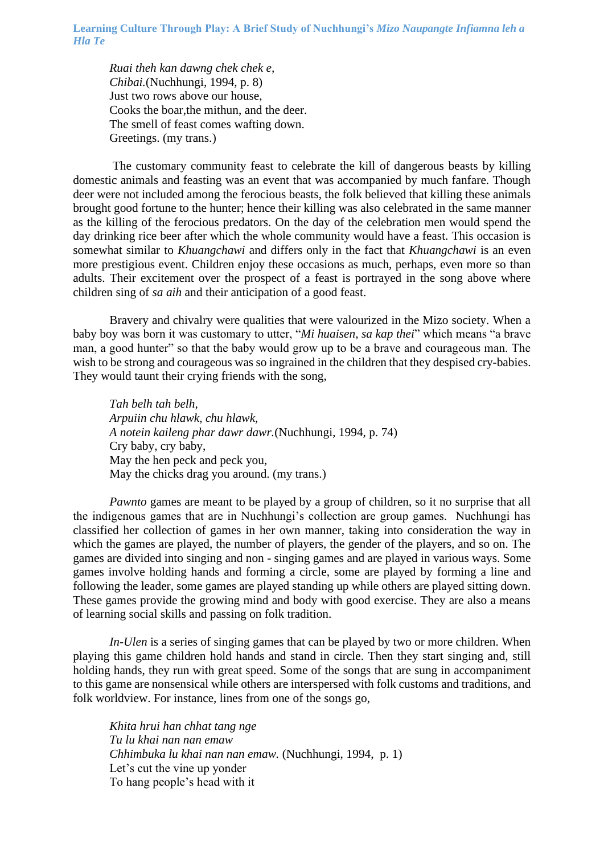*Ruai theh kan dawng chek chek e, Chibai.*(Nuchhungi, 1994, p. 8) Just two rows above our house, Cooks the boar,the mithun, and the deer. The smell of feast comes wafting down. Greetings. (my trans.)

The customary community feast to celebrate the kill of dangerous beasts by killing domestic animals and feasting was an event that was accompanied by much fanfare. Though deer were not included among the ferocious beasts, the folk believed that killing these animals brought good fortune to the hunter; hence their killing was also celebrated in the same manner as the killing of the ferocious predators. On the day of the celebration men would spend the day drinking rice beer after which the whole community would have a feast. This occasion is somewhat similar to *Khuangchawi* and differs only in the fact that *Khuangchawi* is an even more prestigious event. Children enjoy these occasions as much, perhaps, even more so than adults. Their excitement over the prospect of a feast is portrayed in the song above where children sing of *sa aih* and their anticipation of a good feast.

Bravery and chivalry were qualities that were valourized in the Mizo society. When a baby boy was born it was customary to utter, "*Mi huaisen, sa kap thei*" which means "a brave man, a good hunter" so that the baby would grow up to be a brave and courageous man. The wish to be strong and courageous was so ingrained in the children that they despised cry-babies. They would taunt their crying friends with the song,

*Tah belh tah belh, Arpuiin chu hlawk, chu hlawk, A notein kaileng phar dawr dawr.*(Nuchhungi, 1994, p. 74) Cry baby, cry baby, May the hen peck and peck you, May the chicks drag you around. (my trans.)

*Pawnto* games are meant to be played by a group of children, so it no surprise that all the indigenous games that are in Nuchhungi's collection are group games. Nuchhungi has classified her collection of games in her own manner, taking into consideration the way in which the games are played, the number of players, the gender of the players, and so on. The games are divided into singing and non - singing games and are played in various ways. Some games involve holding hands and forming a circle, some are played by forming a line and following the leader, some games are played standing up while others are played sitting down. These games provide the growing mind and body with good exercise. They are also a means of learning social skills and passing on folk tradition.

*In-Ulen* is a series of singing games that can be played by two or more children. When playing this game children hold hands and stand in circle. Then they start singing and, still holding hands, they run with great speed. Some of the songs that are sung in accompaniment to this game are nonsensical while others are interspersed with folk customs and traditions, and folk worldview. For instance, lines from one of the songs go,

*Khita hrui han chhat tang nge Tu lu khai nan nan emaw Chhimbuka lu khai nan nan emaw.* (Nuchhungi, 1994, p. 1) Let's cut the vine up yonder To hang people's head with it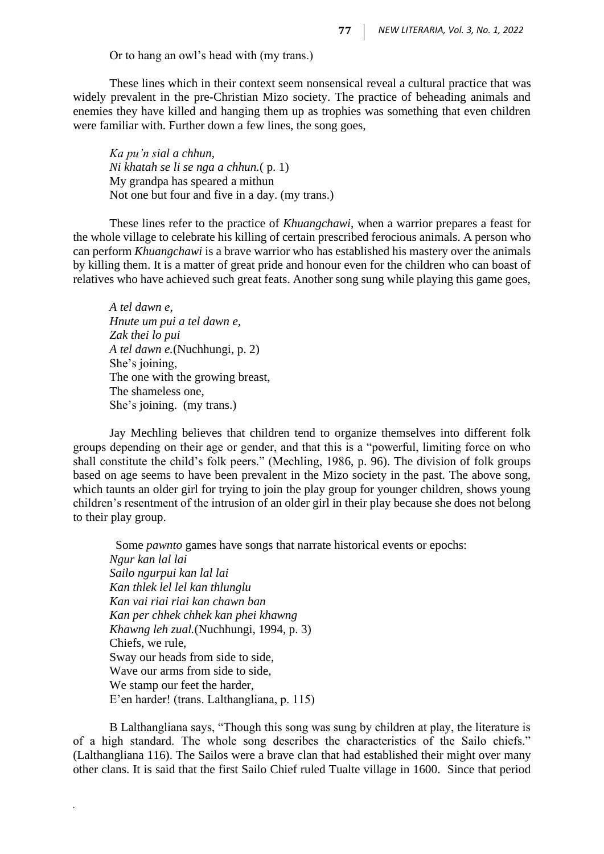Or to hang an owl's head with (my trans.)

These lines which in their context seem nonsensical reveal a cultural practice that was widely prevalent in the pre-Christian Mizo society. The practice of beheading animals and enemies they have killed and hanging them up as trophies was something that even children were familiar with. Further down a few lines, the song goes,

*Ka pu'n sial a chhun, Ni khatah se li se nga a chhun.*( p. 1) My grandpa has speared a mithun Not one but four and five in a day. (my trans.)

These lines refer to the practice of *Khuangchawi*, when a warrior prepares a feast for the whole village to celebrate his killing of certain prescribed ferocious animals. A person who can perform *Khuangchawi* is a brave warrior who has established his mastery over the animals by killing them. It is a matter of great pride and honour even for the children who can boast of relatives who have achieved such great feats. Another song sung while playing this game goes,

*A tel dawn e, Hnute um pui a tel dawn e, Zak thei lo pui A tel dawn e.*(Nuchhungi, p. 2) She's joining, The one with the growing breast, The shameless one, She's joining. (my trans.)

*.*

Jay Mechling believes that children tend to organize themselves into different folk groups depending on their age or gender, and that this is a "powerful, limiting force on who shall constitute the child's folk peers." (Mechling, 1986, p. 96). The division of folk groups based on age seems to have been prevalent in the Mizo society in the past. The above song, which taunts an older girl for trying to join the play group for younger children, shows young children's resentment of the intrusion of an older girl in their play because she does not belong to their play group.

 Some *pawnto* games have songs that narrate historical events or epochs: *Ngur kan lal lai Sailo ngurpui kan lal lai Kan thlek lel lel kan thlunglu Kan vai riai riai kan chawn ban Kan per chhek chhek kan phei khawng Khawng leh zual.*(Nuchhungi, 1994, p. 3) Chiefs, we rule, Sway our heads from side to side, Wave our arms from side to side, We stamp our feet the harder, E'en harder! (trans. Lalthangliana, p. 115)

B Lalthangliana says, "Though this song was sung by children at play, the literature is of a high standard. The whole song describes the characteristics of the Sailo chiefs." (Lalthangliana 116). The Sailos were a brave clan that had established their might over many other clans. It is said that the first Sailo Chief ruled Tualte village in 1600. Since that period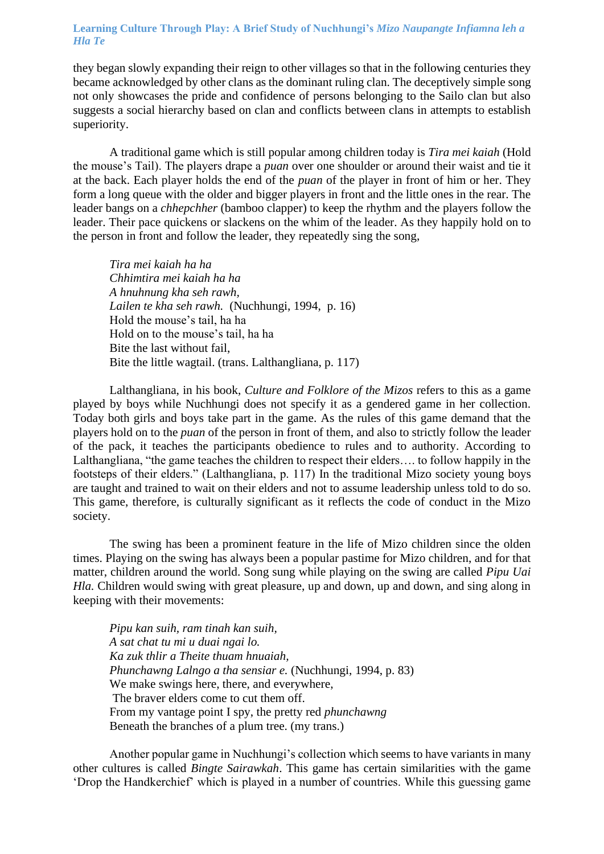they began slowly expanding their reign to other villages so that in the following centuries they became acknowledged by other clans as the dominant ruling clan. The deceptively simple song not only showcases the pride and confidence of persons belonging to the Sailo clan but also suggests a social hierarchy based on clan and conflicts between clans in attempts to establish superiority.

A traditional game which is still popular among children today is *Tira mei kaiah* (Hold the mouse's Tail). The players drape a *puan* over one shoulder or around their waist and tie it at the back. Each player holds the end of the *puan* of the player in front of him or her. They form a long queue with the older and bigger players in front and the little ones in the rear. The leader bangs on a *chhepchher* (bamboo clapper) to keep the rhythm and the players follow the leader. Their pace quickens or slackens on the whim of the leader. As they happily hold on to the person in front and follow the leader, they repeatedly sing the song,

*Tira mei kaiah ha ha Chhimtira mei kaiah ha ha A hnuhnung kha seh rawh, Lailen te kha seh rawh.* (Nuchhungi, 1994, p. 16) Hold the mouse's tail, ha ha Hold on to the mouse's tail, ha ha Bite the last without fail, Bite the little wagtail. (trans. Lalthangliana, p. 117)

Lalthangliana, in his book, *Culture and Folklore of the Mizos* refers to this as a game played by boys while Nuchhungi does not specify it as a gendered game in her collection. Today both girls and boys take part in the game. As the rules of this game demand that the players hold on to the *puan* of the person in front of them, and also to strictly follow the leader of the pack, it teaches the participants obedience to rules and to authority. According to Lalthangliana, "the game teaches the children to respect their elders…. to follow happily in the footsteps of their elders." (Lalthangliana, p. 117) In the traditional Mizo society young boys are taught and trained to wait on their elders and not to assume leadership unless told to do so. This game, therefore, is culturally significant as it reflects the code of conduct in the Mizo society.

The swing has been a prominent feature in the life of Mizo children since the olden times. Playing on the swing has always been a popular pastime for Mizo children, and for that matter, children around the world. Song sung while playing on the swing are called *Pipu Uai Hla.* Children would swing with great pleasure, up and down, up and down, and sing along in keeping with their movements:

*Pipu kan suih, ram tinah kan suih, A sat chat tu mi u duai ngai lo. Ka zuk thlir a Theite thuam hnuaiah, Phunchawng Lalngo a tha sensiar e.* (Nuchhungi, 1994, p. 83) We make swings here, there, and everywhere, The braver elders come to cut them off. From my vantage point I spy, the pretty red *phunchawng* Beneath the branches of a plum tree. (my trans.)

Another popular game in Nuchhungi's collection which seems to have variants in many other cultures is called *Bingte Sairawkah*. This game has certain similarities with the game 'Drop the Handkerchief' which is played in a number of countries. While this guessing game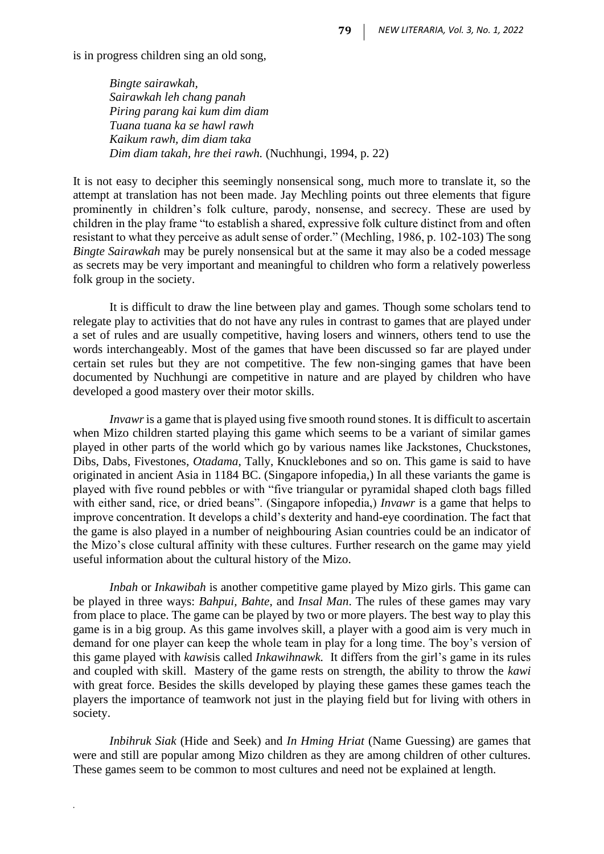is in progress children sing an old song,

*Bingte sairawkah, Sairawkah leh chang panah Piring parang kai kum dim diam Tuana tuana ka se hawl rawh Kaikum rawh, dim diam taka Dim diam takah, hre thei rawh.* (Nuchhungi, 1994, p. 22)

It is not easy to decipher this seemingly nonsensical song, much more to translate it, so the attempt at translation has not been made. Jay Mechling points out three elements that figure prominently in children's folk culture, parody, nonsense, and secrecy. These are used by children in the play frame "to establish a shared, expressive folk culture distinct from and often resistant to what they perceive as adult sense of order." (Mechling, 1986, p. 102-103) The song *Bingte Sairawkah* may be purely nonsensical but at the same it may also be a coded message as secrets may be very important and meaningful to children who form a relatively powerless folk group in the society.

It is difficult to draw the line between play and games. Though some scholars tend to relegate play to activities that do not have any rules in contrast to games that are played under a set of rules and are usually competitive, having losers and winners, others tend to use the words interchangeably. Most of the games that have been discussed so far are played under certain set rules but they are not competitive. The few non-singing games that have been documented by Nuchhungi are competitive in nature and are played by children who have developed a good mastery over their motor skills.

*Invawr* is a game that is played using five smooth round stones. It is difficult to ascertain when Mizo children started playing this game which seems to be a variant of similar games played in other parts of the world which go by various names like Jackstones, Chuckstones, Dibs, Dabs, Fivestones, *Otadama*, Tally, Knucklebones and so on. This game is said to have originated in ancient Asia in 1184 BC. (Singapore infopedia,) In all these variants the game is played with five round pebbles or with "five triangular or pyramidal shaped cloth bags filled with either sand, rice, or dried beans". (Singapore infopedia,) *Invawr* is a game that helps to improve concentration. It develops a child's dexterity and hand-eye coordination. The fact that the game is also played in a number of neighbouring Asian countries could be an indicator of the Mizo's close cultural affinity with these cultures. Further research on the game may yield useful information about the cultural history of the Mizo.

*Inbah* or *Inkawibah* is another competitive game played by Mizo girls. This game can be played in three ways: *Bahpui, Bahte*, and *Insal Man*. The rules of these games may vary from place to place. The game can be played by two or more players. The best way to play this game is in a big group. As this game involves skill, a player with a good aim is very much in demand for one player can keep the whole team in play for a long time. The boy's version of this game played with *kawi*sis called *Inkawihnawk.* It differs from the girl's game in its rules and coupled with skill. Mastery of the game rests on strength, the ability to throw the *kawi* with great force. Besides the skills developed by playing these games these games teach the players the importance of teamwork not just in the playing field but for living with others in society.

*Inbihruk Siak* (Hide and Seek) and *In Hming Hriat* (Name Guessing) are games that were and still are popular among Mizo children as they are among children of other cultures. These games seem to be common to most cultures and need not be explained at length.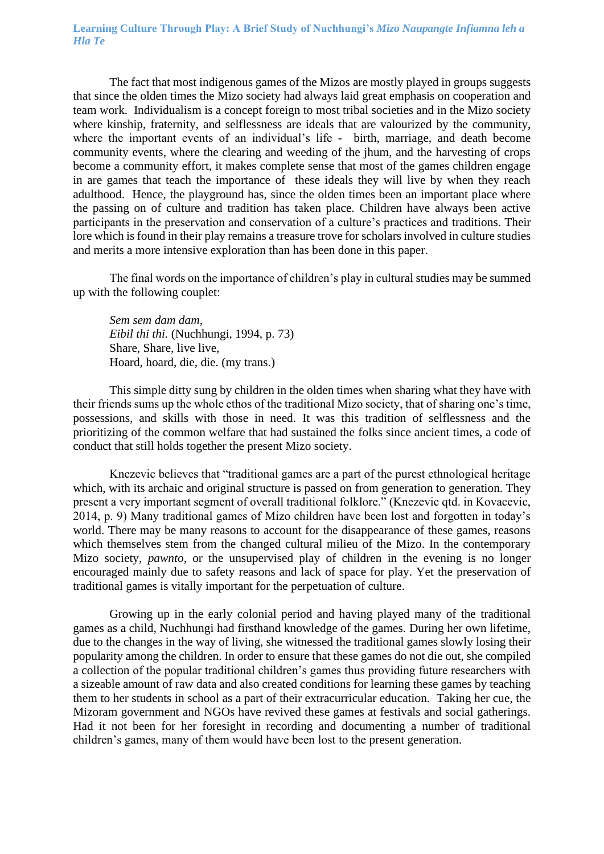The fact that most indigenous games of the Mizos are mostly played in groups suggests that since the olden times the Mizo society had always laid great emphasis on cooperation and team work. Individualism is a concept foreign to most tribal societies and in the Mizo society where kinship, fraternity, and selflessness are ideals that are valourized by the community, where the important events of an individual's life - birth, marriage, and death become community events, where the clearing and weeding of the jhum, and the harvesting of crops become a community effort, it makes complete sense that most of the games children engage in are games that teach the importance of these ideals they will live by when they reach adulthood. Hence, the playground has, since the olden times been an important place where the passing on of culture and tradition has taken place. Children have always been active participants in the preservation and conservation of a culture's practices and traditions. Their lore which is found in their play remains a treasure trove for scholars involved in culture studies and merits a more intensive exploration than has been done in this paper.

The final words on the importance of children's play in cultural studies may be summed up with the following couplet:

*Sem sem dam dam, Eibil thi thi.* (Nuchhungi, 1994, p. 73) Share, Share, live live, Hoard, hoard, die, die. (my trans.)

This simple ditty sung by children in the olden times when sharing what they have with their friends sums up the whole ethos of the traditional Mizo society, that of sharing one's time, possessions, and skills with those in need. It was this tradition of selflessness and the prioritizing of the common welfare that had sustained the folks since ancient times, a code of conduct that still holds together the present Mizo society.

Knezevic believes that "traditional games are a part of the purest ethnological heritage which, with its archaic and original structure is passed on from generation to generation. They present a very important segment of overall traditional folklore." (Knezevic qtd. in Kovacevic, 2014, p. 9) Many traditional games of Mizo children have been lost and forgotten in today's world. There may be many reasons to account for the disappearance of these games, reasons which themselves stem from the changed cultural milieu of the Mizo. In the contemporary Mizo society, *pawnto,* or the unsupervised play of children in the evening is no longer encouraged mainly due to safety reasons and lack of space for play. Yet the preservation of traditional games is vitally important for the perpetuation of culture.

Growing up in the early colonial period and having played many of the traditional games as a child, Nuchhungi had firsthand knowledge of the games. During her own lifetime, due to the changes in the way of living, she witnessed the traditional games slowly losing their popularity among the children. In order to ensure that these games do not die out, she compiled a collection of the popular traditional children's games thus providing future researchers with a sizeable amount of raw data and also created conditions for learning these games by teaching them to her students in school as a part of their extracurricular education. Taking her cue, the Mizoram government and NGOs have revived these games at festivals and social gatherings. Had it not been for her foresight in recording and documenting a number of traditional children's games, many of them would have been lost to the present generation.